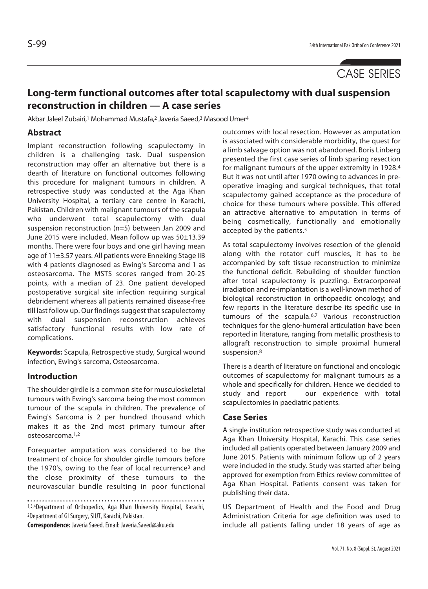# **Long-term functional outcomes after total scapulectomy with dual suspension reconstruction in children — A case series**

Akbar Jaleel Zubairi,<sup>1</sup> Mohammad Mustafa,<sup>2</sup> Javeria Saeed,<sup>3</sup> Masood Umer<sup>4</sup>

## **Abstract**

Implant reconstruction following scapulectomy in children is a challenging task. Dual suspension reconstruction may offer an alternative but there is a dearth of literature on functional outcomes following this procedure for malignant tumours in children. A retrospective study was conducted at the Aga Khan University Hospital, a tertiary care centre in Karachi, Pakistan. Children with malignant tumours of the scapula who underwent total scapulectomy with dual suspension reconstruction (n=5) between Jan 2009 and June 2015 were included. Mean follow up was 50±13.39 months. There were four boys and one girl having mean age of 11±3.57 years. All patients were Enneking Stage IIB with 4 patients diagnosed as Ewing's Sarcoma and 1 as osteosarcoma. The MSTS scores ranged from 20-25 points, with a median of 23. One patient developed postoperative surgical site infection requiring surgical debridement whereas all patients remained disease-free till last follow up. Our findings suggest that scapulectomy with dual suspension reconstruction achieves satisfactory functional results with low rate of complications.

**Keywords:** Scapula, Retrospective study, Surgical wound infection, Ewing's sarcoma, Osteosarcoma.

#### **Introduction**

The shoulder girdle is a common site for musculoskeletal tumours with Ewing's sarcoma being the most common tumour of the scapula in children. The prevalence of Ewing's Sarcoma is 2 per hundred thousand which makes it as the 2nd most primary tumour after osteosarcoma.1,2

Forequarter amputation was considered to be the treatment of choice for shoulder girdle tumours before the 1970's, owing to the fear of local recurrence<sup>3</sup> and the close proximity of these tumours to the neurovascular bundle resulting in poor functional

1,3,4Department of Orthopedics, Aga Khan University Hospital, Karachi, 2Department of GI Surgery, SIUT, Karachi, Pakistan.

**Correspondence:** Javeria Saeed. Email: Javeria.Saeed@aku.edu

outcomes with local resection. However as amputation is associated with considerable morbidity, the quest for a limb salvage option was not abandoned. Boris Linberg presented the first case series of limb sparing resection for malignant tumours of the upper extremity in 1928.4 But it was not until after 1970 owing to advances in preoperative imaging and surgical techniques, that total scapulectomy gained acceptance as the procedure of choice for these tumours where possible. This offered an attractive alternative to amputation in terms of being cosmetically, functionally and emotionally accepted by the patients.5

As total scapulectomy involves resection of the glenoid along with the rotator cuff muscles, it has to be accompanied by soft tissue reconstruction to minimize the functional deficit. Rebuilding of shoulder function after total scapulectomy is puzzling. Extracorporeal irradiation and re-implantation is a well-known method of biological reconstruction in orthopaedic oncology; and few reports in the literature describe its specific use in tumours of the scapula.6,7 Various reconstruction techniques for the gleno-humeral articulation have been reported in literature, ranging from metallic prosthesis to allograft reconstruction to simple proximal humeral suspension.8

There is a dearth of literature on functional and oncologic outcomes of scapulectomy for malignant tumours as a whole and specifically for children. Hence we decided to study and report our experience with total scapulectomies in paediatric patients.

## **Case Series**

A single institution retrospective study was conducted at Aga Khan University Hospital, Karachi. This case series included all patients operated between January 2009 and June 2015. Patients with minimum follow up of 2 years were included in the study. Study was started after being approved for exemption from Ethics review committee of Aga Khan Hospital. Patients consent was taken for publishing their data.

US Department of Health and the Food and Drug Administration Criteria for age definition was used to include all patients falling under 18 years of age as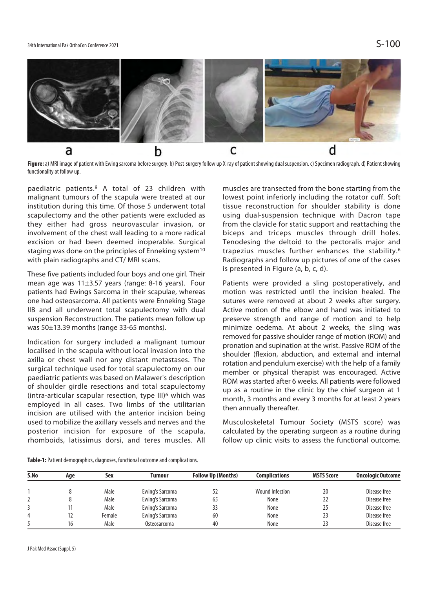#### 34th International Pak OrthoCon Conference 2021  $\mathsf{S}\text{-}100$



Figure: a) MRI image of patient with Ewing sarcoma before surgery. b) Post-surgery follow up X-ray of patient showing dual suspension. c) Specimen radiograph. d) Patient showing functionality at follow up.

paediatric patients.9 A total of 23 children with malignant tumours of the scapula were treated at our institution during this time. Of those 5 underwent total scapulectomy and the other patients were excluded as they either had gross neurovascular invasion, or involvement of the chest wall leading to a more radical excision or had been deemed inoperable. Surgical staging was done on the principles of Enneking system<sup>10</sup> with plain radiographs and CT/ MRI scans.

These five patients included four boys and one girl. Their mean age was 11±3.57 years (range: 8-16 years). Four patients had Ewings Sarcoma in their scapulae, whereas one had osteosarcoma. All patients were Enneking Stage IIB and all underwent total scapulectomy with dual suspension Reconstruction. The patients mean follow up was 50±13.39 months (range 33-65 months).

Indication for surgery included a malignant tumour localised in the scapula without local invasion into the axilla or chest wall nor any distant metastases. The surgical technique used for total scapulectomy on our paediatric patients was based on Malawer's description of shoulder girdle resections and total scapulectomy (intra-articular scapular resection, type III)6 which was employed in all cases. Two limbs of the utilitarian incision are utilised with the anterior incision being used to mobilize the axillary vessels and nerves and the posterior incision for exposure of the scapula, rhomboids, latissimus dorsi, and teres muscles. All

muscles are transected from the bone starting from the lowest point inferiorly including the rotator cuff. Soft tissue reconstruction for shoulder stability is done using dual-suspension technique with Dacron tape from the clavicle for static support and reattaching the biceps and triceps muscles through drill holes. Tenodesing the deltoid to the pectoralis major and trapezius muscles further enhances the stability.6 Radiographs and follow up pictures of one of the cases is presented in Figure (a, b, c, d).

Patients were provided a sling postoperatively, and motion was restricted until the incision healed. The sutures were removed at about 2 weeks after surgery. Active motion of the elbow and hand was initiated to preserve strength and range of motion and to help minimize oedema. At about 2 weeks, the sling was removed for passive shoulder range of motion (ROM) and pronation and supination at the wrist. Passive ROM of the shoulder (flexion, abduction, and external and internal rotation and pendulum exercise) with the help of a family member or physical therapist was encouraged. Active ROM was started after 6 weeks. All patients were followed up as a routine in the clinic by the chief surgeon at 1 month, 3 months and every 3 months for at least 2 years then annually thereafter.

Musculoskeletal Tumour Society (MSTS score) was calculated by the operating surgeon as a routine during follow up clinic visits to assess the functional outcome.

| Table-1: Patient demographics, diagnoses, functional outcome and complications. |  |  |  |  |  |
|---------------------------------------------------------------------------------|--|--|--|--|--|
|---------------------------------------------------------------------------------|--|--|--|--|--|

| S.No | Age | Sex    | Tumour          | <b>Follow Up (Months)</b> | Complications   | <b>MSTS Score</b> | <b>Oncologic Outcome</b> |
|------|-----|--------|-----------------|---------------------------|-----------------|-------------------|--------------------------|
|      |     | Male   | Ewing's Sarcoma |                           | Wound Infection | 20                | Disease free             |
|      |     | Male   | Ewing's Sarcoma | 65                        | None            | 22                | Disease free             |
|      |     | Male   | Ewing's Sarcoma | 33                        | None            | 25                | Disease free             |
|      | 12  | Female | Ewing's Sarcoma | 60                        | None            | 23                | Disease free             |
|      | 16  | Male   | Osteosarcoma    | 40                        | None            | 23                | Disease free             |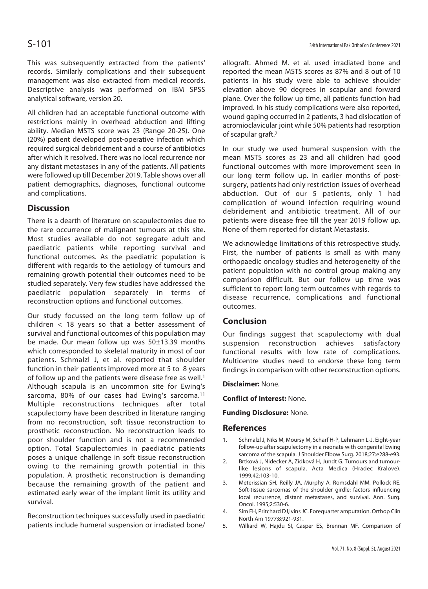This was subsequently extracted from the patients' records. Similarly complications and their subsequent management was also extracted from medical records. Descriptive analysis was performed on IBM SPSS analytical software, version 20.

All children had an acceptable functional outcome with restrictions mainly in overhead abduction and lifting ability. Median MSTS score was 23 (Range 20-25). One (20%) patient developed post-operative infection which required surgical debridement and a course of antibiotics after which it resolved. There was no local recurrence nor any distant metastases in any of the patients. All patients were followed up till December 2019. Table shows over all patient demographics, diagnoses, functional outcome and complications.

## **Discussion**

There is a dearth of literature on scapulectomies due to the rare occurrence of malignant tumours at this site. Most studies available do not segregate adult and paediatric patients while reporting survival and functional outcomes. As the paediatric population is different with regards to the aetiology of tumours and remaining growth potential their outcomes need to be studied separately. Very few studies have addressed the paediatric population separately in terms of reconstruction options and functional outcomes.

Our study focussed on the long term follow up of children < 18 years so that a better assessment of survival and functional outcomes of this population may be made. Our mean follow up was 50±13.39 months which corresponded to skeletal maturity in most of our patients. Schmalzl J, et al. reported that shoulder function in their patients improved more at 5 to 8 years of follow up and the patients were disease free as well.<sup>1</sup> Although scapula is an uncommon site for Ewing's sarcoma, 80% of our cases had Ewing's sarcoma.<sup>11</sup> Multiple reconstructions techniques after total scapulectomy have been described in literature ranging from no reconstruction, soft tissue reconstruction to prosthetic reconstruction. No reconstruction leads to poor shoulder function and is not a recommended option. Total Scapulectomies in paediatric patients poses a unique challenge in soft tissue reconstruction owing to the remaining growth potential in this population. A prosthetic reconstruction is demanding because the remaining growth of the patient and estimated early wear of the implant limit its utility and survival.

Reconstruction techniques successfully used in paediatric patients include humeral suspension or irradiated bone/

allograft. Ahmed M. et al. used irradiated bone and reported the mean MSTS scores as 87% and 8 out of 10 patients in his study were able to achieve shoulder elevation above 90 degrees in scapular and forward plane. Over the follow up time, all patients function had improved. In his study complications were also reported, wound gaping occurred in 2 patients, 3 had dislocation of acromioclavicular joint while 50% patients had resorption of scapular graft.7

In our study we used humeral suspension with the mean MSTS scores as 23 and all children had good functional outcomes with more improvement seen in our long term follow up. In earlier months of postsurgery, patients had only restriction issues of overhead abduction. Out of our 5 patients, only 1 had complication of wound infection requiring wound debridement and antibiotic treatment. All of our patients were disease free till the year 2019 follow up. None of them reported for distant Metastasis.

We acknowledge limitations of this retrospective study. First, the number of patients is small as with many orthopaedic oncology studies and heterogeneity of the patient population with no control group making any comparison difficult. But our follow up time was sufficient to report long term outcomes with regards to disease recurrence, complications and functional outcomes.

## **Conclusion**

Our findings suggest that scapulectomy with dual suspension reconstruction achieves satisfactory functional results with low rate of complications. Multicentre studies need to endorse these long term findings in comparison with other reconstruction options.

## **Disclaimer:** None.

**Conflict of Interest:** None.

#### **Funding Disclosure:** None.

## **References**

- 1. Schmalzl J, Niks M, Moursy M, Scharf H-P, Lehmann L-J. Eight-year follow-up after scapulectomy in a neonate with congenital Ewing sarcoma of the scapula. J Shoulder Elbow Surg. 2018;27:e288-e93.
- 2. Brtková J, Nidecker A, Zídková H, Jundt G. Tumours and tumourlike lesions of scapula. Acta Medica (Hradec Kralove). 1999;42:103-10.
- 3. Meterissian SH, Reilly JA, Murphy A, Romsdahl MM, Pollock RE. Soft-tissue sarcomas of the shoulder girdle: factors influencing local recurrence, distant metastases, and survival. Ann. Surg. Oncol. 1995;2:530-6.
- 4. Sim FH, Pritchard DJ,Ivins JC. Forequarter amputation. Orthop Clin North Am 1977;8:921-931.
- 5. Williard W, Hajdu SI, Casper ES, Brennan MF. Comparison of